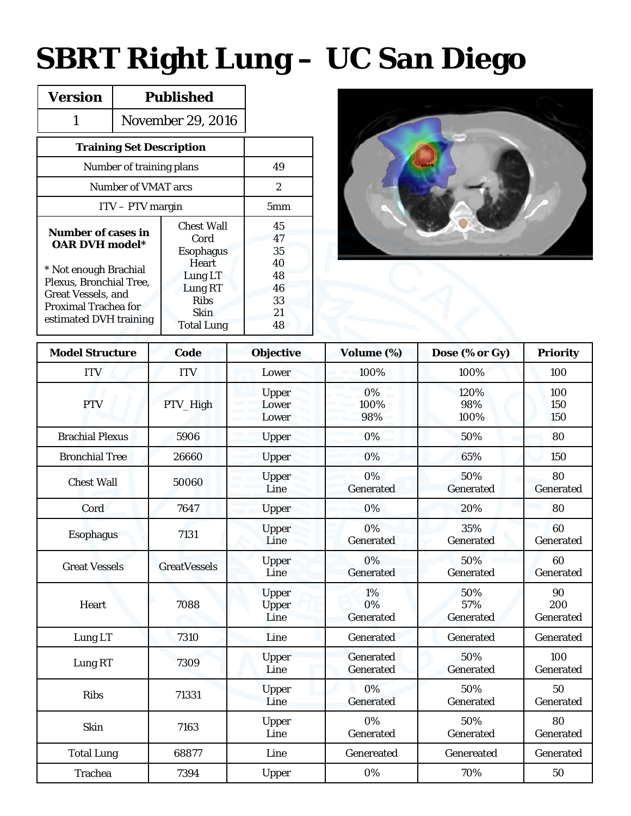## **SBRT Right Lung – UC San Diego**

| <b>Version</b>                                                                                                                                                                        | <b>Published</b>  |                                                                                                                                 |                                                    |
|---------------------------------------------------------------------------------------------------------------------------------------------------------------------------------------|-------------------|---------------------------------------------------------------------------------------------------------------------------------|----------------------------------------------------|
| 1                                                                                                                                                                                     | November 29, 2016 |                                                                                                                                 |                                                    |
| <b>Training Set Description</b>                                                                                                                                                       |                   |                                                                                                                                 |                                                    |
| Number of training plans                                                                                                                                                              | 49                |                                                                                                                                 |                                                    |
| Number of VMAT arcs                                                                                                                                                                   | $\overline{2}$    |                                                                                                                                 |                                                    |
| $ITV - PTV$ margin                                                                                                                                                                    | 5 <sub>mm</sub>   |                                                                                                                                 |                                                    |
| <b>Number of cases in</b><br><b>OAR DVH model*</b><br>* Not enough Brachial<br>Plexus, Bronchial Tree,<br>Great Vessels, and<br><b>Proximal Trachea for</b><br>estimated DVH training |                   | <b>Chest Wall</b><br>Cord<br><b>Esophagus</b><br>Heart<br>Lung LT<br>Lung RT<br><b>Ribs</b><br><b>Skin</b><br><b>Total Lung</b> | 45<br>47<br>35<br>40<br>48<br>46<br>33<br>21<br>48 |



| <b>Model Structure</b> | Code                | <b>Objective</b>                     | Volume (%)                    | Dose (% or Gy)          | <b>Priority</b>        |  |  |
|------------------------|---------------------|--------------------------------------|-------------------------------|-------------------------|------------------------|--|--|
| <b>ITV</b>             | <b>ITV</b>          | Lower                                | 100%                          | 100%                    | 100                    |  |  |
| <b>PTV</b>             | PTV_High            | <b>Upper</b><br>Lower<br>Lower       | 0%<br>100%<br>98%             | 120%<br>98%<br>100%     | 100<br>150<br>150      |  |  |
| <b>Brachial Plexus</b> | 5906                | <b>Upper</b>                         | 0%                            | 50%                     | 80                     |  |  |
| <b>Bronchial Tree</b>  | 26660               | Upper                                | 0%                            | 65%                     | 150                    |  |  |
| <b>Chest Wall</b>      | 50060               | Upper<br>Line                        | 0%<br>Generated               | 50%<br>Generated        | 80<br>Generated        |  |  |
| Cord                   | 7647                | <b>Upper</b>                         | 0%                            | 20%                     | 80                     |  |  |
| <b>Esophagus</b>       | 7131                | Upper<br>Line                        | 0%<br><b>Generated</b>        | 35%<br>Generated        | 60<br>Generated        |  |  |
| <b>Great Vessels</b>   | <b>GreatVessels</b> | Upper<br>Line                        | 0%<br>Generated               | 50%<br><b>Generated</b> | 60<br>Generated        |  |  |
| Heart                  | 7088                | <b>Upper</b><br><b>Upper</b><br>Line | 1%<br>0%<br><b>Generated</b>  | 50%<br>57%<br>Generated | 90<br>200<br>Generated |  |  |
| Lung LT                | 7310                | Line                                 | Generated                     | Generated               | Generated              |  |  |
| Lung RT                | 7309                | <b>Upper</b><br>Line                 | <b>Generated</b><br>Generated | 50%<br>Generated        | 100<br>Generated       |  |  |
| <b>Ribs</b>            | 71331               | <b>Upper</b><br>Line                 | 0%<br>Generated               | 50%<br>Generated        | 50<br>Generated        |  |  |
| Skin                   | 7163                | Upper<br>Line                        | 0%<br>Generated               | 50%<br>Generated        | 80<br>Generated        |  |  |
| <b>Total Lung</b>      | 68877               | Line                                 | Genereated                    | Genereated              | Generated              |  |  |
| <b>Trachea</b>         | 7394                | Upper                                | 0%                            | 70%                     | 50                     |  |  |